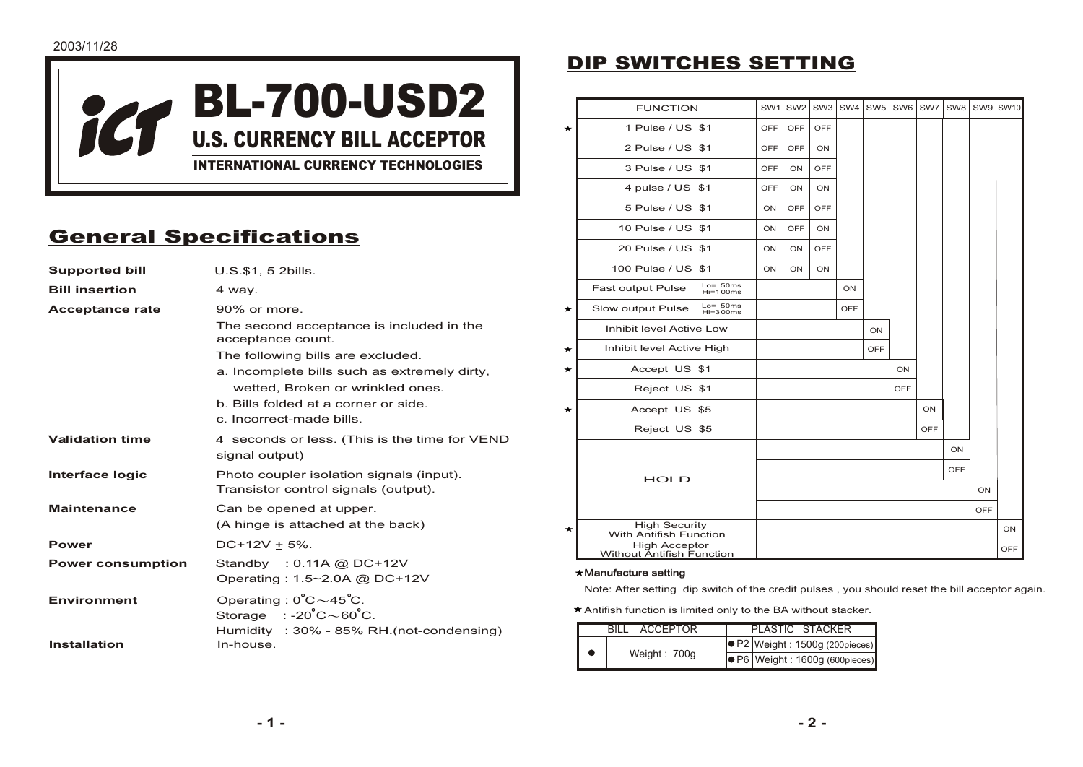

# General Specifications

| <b>Supported bill</b>    | U.S.\$1, 5 2 bills.                                                                       |  |  |
|--------------------------|-------------------------------------------------------------------------------------------|--|--|
| <b>Bill insertion</b>    | 4 way.                                                                                    |  |  |
| <b>Acceptance rate</b>   | 90% or more.                                                                              |  |  |
|                          | The second acceptance is included in the<br>acceptance count.                             |  |  |
|                          | The following bills are excluded.                                                         |  |  |
|                          | a. Incomplete bills such as extremely dirty,                                              |  |  |
|                          | wetted. Broken or wrinkled ones.                                                          |  |  |
|                          | b. Bills folded at a corner or side.                                                      |  |  |
|                          | c. Incorrect-made bills.                                                                  |  |  |
| <b>Validation time</b>   | 4 seconds or less. (This is the time for VEND<br>signal output)                           |  |  |
| Interface logic          | Photo coupler isolation signals (input).<br>Transistor control signals (output).          |  |  |
| <b>Maintenance</b>       | Can be opened at upper.                                                                   |  |  |
|                          | (A hinge is attached at the back)                                                         |  |  |
| <b>Power</b>             | $DC+12V \pm 5\%$ .                                                                        |  |  |
| <b>Power consumption</b> | Standby : $0.11A$ @ DC+12V                                                                |  |  |
|                          | Operating: 1.5~2.0A @ DC+12V                                                              |  |  |
| <b>Environment</b>       | Operating: $0^{\circ}C \sim 45^{\circ}C$ .<br>Storage $: -20^{\circ}C \sim 60^{\circ}C$ . |  |  |
| Installation             | Humidity : 30% - 85% RH.(not-condensing)<br>In-house.                                     |  |  |
|                          |                                                                                           |  |  |

## DIP SWITCHES SETTING

|         | <b>FUNCTION</b>                                     | SW <sub>1</sub> | SW <sub>2</sub> | SW <sub>3</sub> | SW4        | SW <sub>5</sub> | SW <sub>6</sub> | SW7        | SW <sub>8</sub> | SW9 | <b>SW10</b> |
|---------|-----------------------------------------------------|-----------------|-----------------|-----------------|------------|-----------------|-----------------|------------|-----------------|-----|-------------|
| $\star$ | 1 Pulse / US \$1                                    | OFF             | OFF             | OFF             |            |                 |                 |            |                 |     |             |
|         | 2 Pulse / US \$1                                    | <b>OFF</b>      | <b>OFF</b>      | ON              |            |                 |                 |            |                 |     |             |
|         | 3 Pulse / US \$1                                    | OFF             | ON              | OFF             |            |                 |                 |            |                 |     |             |
|         | 4 pulse / US \$1                                    | OFF             | ON              | ON              |            |                 |                 |            |                 |     |             |
|         | 5 Pulse / US \$1                                    | ON              | OFF             | OFF             |            |                 |                 |            |                 |     |             |
|         | 10 Pulse / US \$1                                   | ON              | OFF             | ON              |            |                 |                 |            |                 |     |             |
|         | 20 Pulse / US \$1                                   | ON              | ON              | OFF             |            |                 |                 |            |                 |     |             |
|         | 100 Pulse / US \$1                                  | ON              | ON              | ON              |            |                 |                 |            |                 |     |             |
|         | $Lo=50ms$<br><b>Fast output Pulse</b><br>$Hi=100ms$ |                 |                 |                 | ON         |                 |                 |            |                 |     |             |
| ★       | $Lo=50ms$<br>Slow output Pulse<br>$Hi=300ms$        |                 |                 |                 | <b>OFF</b> |                 |                 |            |                 |     |             |
|         | Inhibit level Active Low                            |                 |                 |                 |            | ON              |                 |            |                 |     |             |
| ★       | Inhibit level Active High                           |                 |                 |                 |            | OFF             |                 |            |                 |     |             |
| ★       | Accept US \$1                                       |                 |                 |                 |            |                 | ON              |            |                 |     |             |
|         | Reject US \$1                                       |                 |                 |                 |            |                 | OFF             |            |                 |     |             |
| $\star$ | Accept US \$5                                       |                 |                 |                 |            |                 |                 | ON         |                 |     |             |
|         | Reject US \$5                                       |                 |                 |                 |            |                 |                 | <b>OFF</b> |                 |     |             |
|         |                                                     |                 |                 |                 |            |                 |                 |            | ON              |     |             |
|         | <b>HOLD</b>                                         |                 |                 |                 |            |                 |                 |            | OFF             |     |             |
|         |                                                     |                 |                 |                 |            |                 |                 |            |                 | ON  |             |
|         |                                                     |                 |                 |                 |            |                 |                 |            |                 | OFF |             |
| *       | <b>High Security</b><br>With Antifish Function      |                 |                 |                 |            |                 |                 |            |                 |     | ON          |
|         | <b>High Acceptor</b><br>Without Antifish Function   |                 |                 |                 |            |                 |                 |            |                 |     | <b>OFF</b>  |

#### Manufacture setting

Note: After setting dip switch of the credit pulses , you should reset the bill acceptor again.

Antifish function is limited only to the BA without stacker.

|  | <b>ACCEPTOR</b> | PLASTIC STACKER                          |
|--|-----------------|------------------------------------------|
|  | Weight: 700g    | $\bigcirc$ P2 Weight : 1500g (200pieces) |
|  |                 | $\bullet$ P6 Weight : 1600g (600pieces)  |